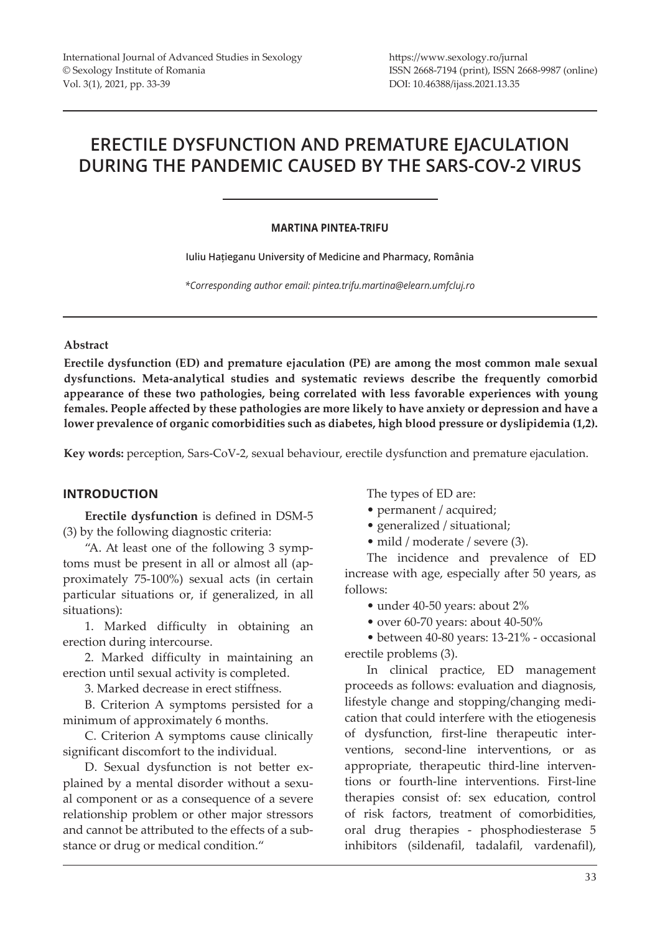# **ERECTILE DYSFUNCTION AND PREMATURE EJACULATION DURING THE PANDEMIC CAUSED BY THE SARS-COV-2 VIRUS**

# **MARTINA PINTEA-TRIFU**

**Iuliu Hațieganu University of Medicine and Pharmacy, România**

*\*Corresponding author email: pintea.trifu.martina@elearn.umfcluj.ro*

## **Abstract**

**Erectile dysfunction (ED) and premature ejaculation (PE) are among the most common male sexual dysfunctions. Meta-analytical studies and systematic reviews describe the frequently comorbid appearance of these two pathologies, being correlated with less favorable experiences with young females. People affected by these pathologies are more likely to have anxiety or depression and have a lower prevalence of organic comorbidities such as diabetes, high blood pressure or dyslipidemia (1,2).** 

**Key words:** perception, Sars-CoV-2, sexual behaviour, erectile dysfunction and premature ejaculation.

# **INTRODUCTION**

**Erectile dysfunction** is defined in DSM-5 (3) by the following diagnostic criteria:

"A. At least one of the following 3 symptoms must be present in all or almost all (approximately 75-100%) sexual acts (in certain particular situations or, if generalized, in all situations):

1. Marked difficulty in obtaining an erection during intercourse.

2. Marked difficulty in maintaining an erection until sexual activity is completed.

3. Marked decrease in erect stiffness.

B. Criterion A symptoms persisted for a minimum of approximately 6 months.

C. Criterion A symptoms cause clinically significant discomfort to the individual.

D. Sexual dysfunction is not better explained by a mental disorder without a sexual component or as a consequence of a severe relationship problem or other major stressors and cannot be attributed to the effects of a substance or drug or medical condition."

The types of ED are:

- permanent / acquired;
- generalized / situational;
- mild / moderate / severe (3).

The incidence and prevalence of ED increase with age, especially after 50 years, as follows:

- under 40-50 years: about 2%
- over 60-70 years: about 40-50%

• between 40-80 years: 13-21% - occasional erectile problems (3).

In clinical practice, ED management proceeds as follows: evaluation and diagnosis, lifestyle change and stopping/changing medication that could interfere with the etiogenesis of dysfunction, first-line therapeutic interventions, second-line interventions, or as appropriate, therapeutic third-line interventions or fourth-line interventions. First-line therapies consist of: sex education, control of risk factors, treatment of comorbidities, oral drug therapies - phosphodiesterase 5 inhibitors (sildenafil, tadalafil, vardenafil),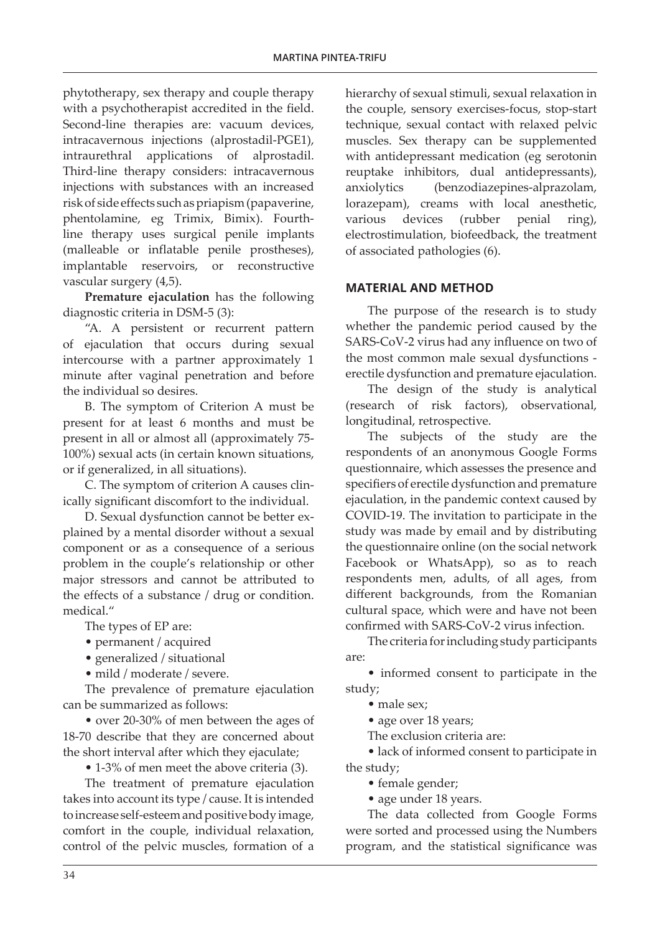phytotherapy, sex therapy and couple therapy with a psychotherapist accredited in the field. Second-line therapies are: vacuum devices, intracavernous injections (alprostadil-PGE1), intraurethral applications of alprostadil. Third-line therapy considers: intracavernous injections with substances with an increased risk of side effects such as priapism (papaverine, phentolamine, eg Trimix, Bimix). Fourthline therapy uses surgical penile implants (malleable or inflatable penile prostheses), implantable reservoirs, or reconstructive vascular surgery (4,5).

**Premature ejaculation** has the following diagnostic criteria in DSM-5 (3):

"A. A persistent or recurrent pattern of ejaculation that occurs during sexual intercourse with a partner approximately 1 minute after vaginal penetration and before the individual so desires.

B. The symptom of Criterion A must be present for at least 6 months and must be present in all or almost all (approximately 75- 100%) sexual acts (in certain known situations, or if generalized, in all situations).

C. The symptom of criterion A causes clinically significant discomfort to the individual.

D. Sexual dysfunction cannot be better explained by a mental disorder without a sexual component or as a consequence of a serious problem in the couple's relationship or other major stressors and cannot be attributed to the effects of a substance / drug or condition. medical."

The types of EP are:

- permanent / acquired
- generalized / situational
- mild / moderate / severe.

The prevalence of premature ejaculation can be summarized as follows:

• over 20-30% of men between the ages of 18-70 describe that they are concerned about the short interval after which they ejaculate;

• 1-3% of men meet the above criteria (3).

The treatment of premature ejaculation takes into account its type / cause. It is intended to increase self-esteem and positive body image, comfort in the couple, individual relaxation, control of the pelvic muscles, formation of a

hierarchy of sexual stimuli, sexual relaxation in the couple, sensory exercises-focus, stop-start technique, sexual contact with relaxed pelvic muscles. Sex therapy can be supplemented with antidepressant medication (eg serotonin reuptake inhibitors, dual antidepressants), anxiolytics (benzodiazepines-alprazolam, lorazepam), creams with local anesthetic, various devices (rubber penial ring), electrostimulation, biofeedback, the treatment of associated pathologies (6).

# **MATERIAL AND METHOD**

The purpose of the research is to study whether the pandemic period caused by the SARS-CoV-2 virus had any influence on two of the most common male sexual dysfunctions erectile dysfunction and premature ejaculation.

The design of the study is analytical (research of risk factors), observational, longitudinal, retrospective.

The subjects of the study are the respondents of an anonymous Google Forms questionnaire, which assesses the presence and specifiers of erectile dysfunction and premature ejaculation, in the pandemic context caused by COVID-19. The invitation to participate in the study was made by email and by distributing the questionnaire online (on the social network Facebook or WhatsApp), so as to reach respondents men, adults, of all ages, from different backgrounds, from the Romanian cultural space, which were and have not been confirmed with SARS-CoV-2 virus infection.

The criteria for including study participants are:

• informed consent to participate in the study;

- male sex;
- age over 18 years;
- The exclusion criteria are:

• lack of informed consent to participate in the study;

- female gender;
- age under 18 years.

The data collected from Google Forms were sorted and processed using the Numbers program, and the statistical significance was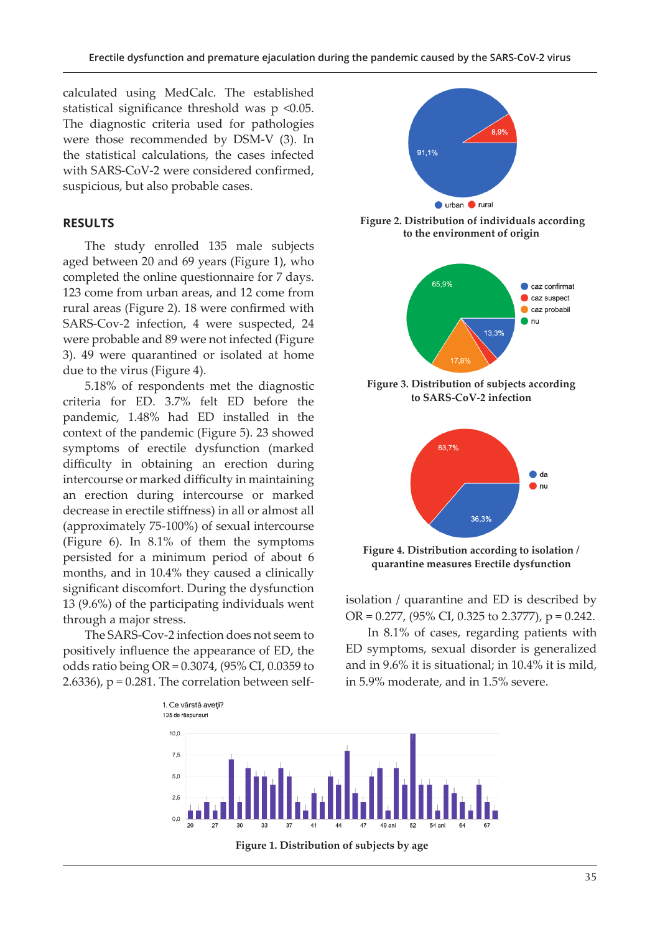calculated using MedCalc. The established statistical significance threshold was p <0.05. The diagnostic criteria used for pathologies were those recommended by DSM-V (3). In the statistical calculations, the cases infected with SARS-CoV-2 were considered confirmed, suspicious, but also probable cases.

# **RESULTS**

The study enrolled 135 male subjects aged between 20 and 69 years (Figure 1), who completed the online questionnaire for 7 days. 123 come from urban areas, and 12 come from rural areas (Figure 2). 18 were confirmed with SARS-Cov-2 infection, 4 were suspected, 24 were probable and 89 were not infected (Figure 3). 49 were quarantined or isolated at home due to the virus (Figure 4).

5.18% of respondents met the diagnostic criteria for ED. 3.7% felt ED before the pandemic, 1.48% had ED installed in the context of the pandemic (Figure 5). 23 showed symptoms of erectile dysfunction (marked difficulty in obtaining an erection during intercourse or marked difficulty in maintaining an erection during intercourse or marked decrease in erectile stiffness) in all or almost all (approximately 75-100%) of sexual intercourse (Figure 6). In 8.1% of them the symptoms persisted for a minimum period of about 6 months, and in 10.4% they caused a clinically significant discomfort. During the dysfunction 13 (9.6%) of the participating individuals went through a major stress.

The SARS-Cov-2 infection does not seem to positively influence the appearance of ED, the odds ratio being OR = 0.3074, (95% CI, 0.0359 to 2.6336),  $p = 0.281$ . The correlation between self-



 **Figure 2. Distribution of individuals according to the environment of origin**



**Figure 3. Distribution of subjects according to SARS-CoV-2 infection**



**Figure 4. Distribution according to isolation / quarantine measures Erectile dysfunction**

isolation / quarantine and ED is described by OR = 0.277, (95% CI, 0.325 to 2.3777), p = 0.242.

In 8.1% of cases, regarding patients with ED symptoms, sexual disorder is generalized and in 9.6% it is situational; in 10.4% it is mild, in 5.9% moderate, and in 1.5% severe.



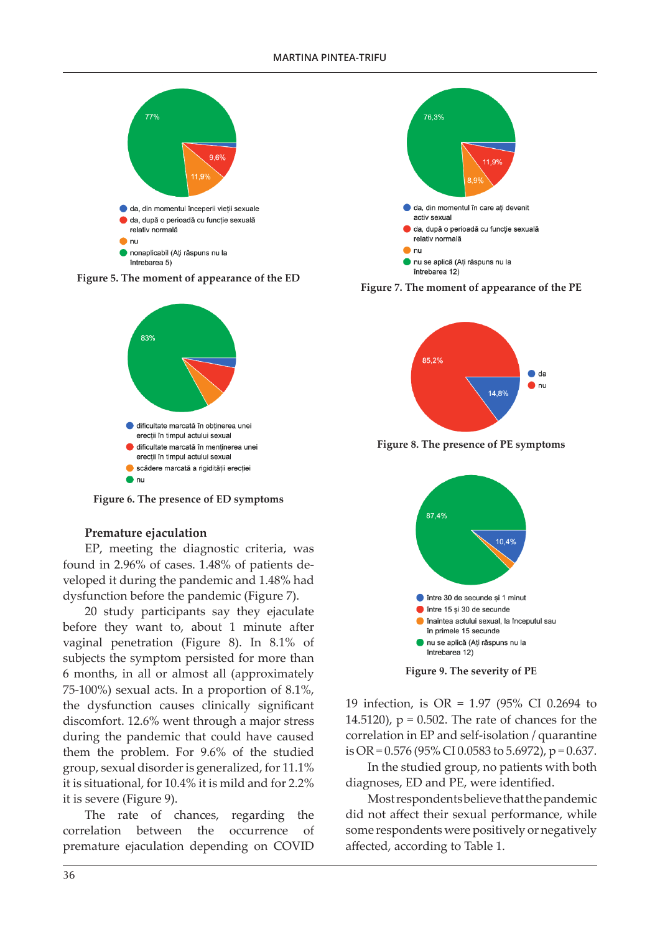

**Figure 5. The moment of appearance of the ED**



**Figure 6. The presence of ED symptoms**

#### **Premature ejaculation**

EP, meeting the diagnostic criteria, was found in 2.96% of cases. 1.48% of patients developed it during the pandemic and 1.48% had dysfunction before the pandemic (Figure 7).

20 study participants say they ejaculate before they want to, about 1 minute after vaginal penetration (Figure 8). In 8.1% of subjects the symptom persisted for more than 6 months, in all or almost all (approximately 75-100%) sexual acts. In a proportion of 8.1%, the dysfunction causes clinically significant discomfort. 12.6% went through a major stress during the pandemic that could have caused them the problem. For 9.6% of the studied group, sexual disorder is generalized, for 11.1% it is situational, for 10.4% it is mild and for 2.2% it is severe (Figure 9).

The rate of chances, regarding the correlation between the occurrence of premature ejaculation depending on COVID



**Figure 7. The moment of appearance of the PE**



**Figure 8. The presence of PE symptoms**



**Figure 9. The severity of PE**

19 infection, is OR = 1.97 (95% CI 0.2694 to 14.5120),  $p = 0.502$ . The rate of chances for the correlation in EP and self-isolation / quarantine is OR =  $0.576$  (95% CI 0.0583 to 5.6972), p =  $0.637$ .

In the studied group, no patients with both diagnoses, ED and PE, were identified.

Most respondents believe that the pandemic did not affect their sexual performance, while some respondents were positively or negatively affected, according to Table 1.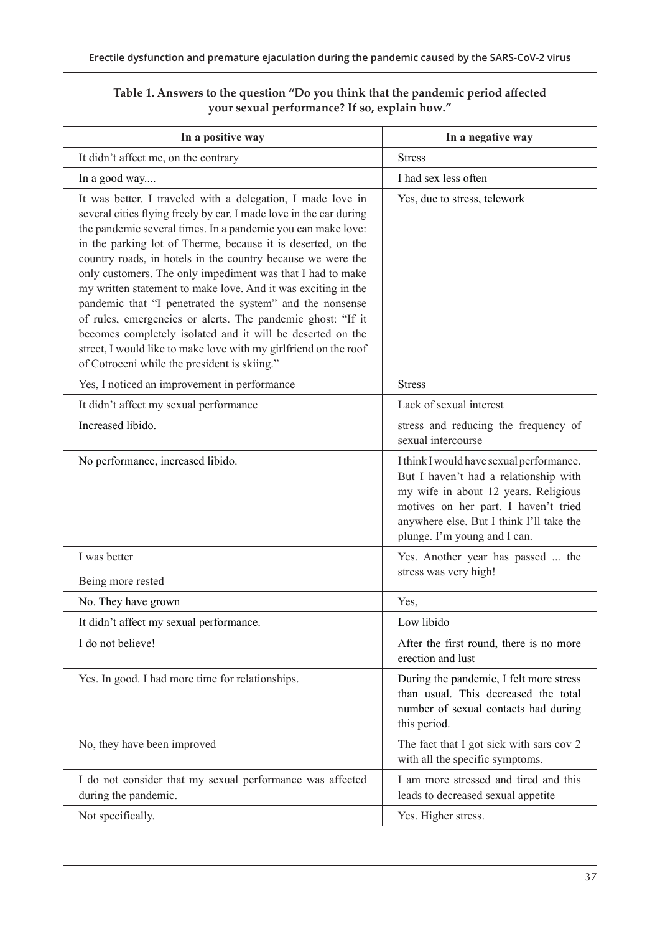| In a positive way                                                                                                                                                                                                                                                                                                                                                                                                                                                                                                                                                                                                                                                                                                                                                            | In a negative way                                                                                                                                                                                                                             |
|------------------------------------------------------------------------------------------------------------------------------------------------------------------------------------------------------------------------------------------------------------------------------------------------------------------------------------------------------------------------------------------------------------------------------------------------------------------------------------------------------------------------------------------------------------------------------------------------------------------------------------------------------------------------------------------------------------------------------------------------------------------------------|-----------------------------------------------------------------------------------------------------------------------------------------------------------------------------------------------------------------------------------------------|
| It didn't affect me, on the contrary                                                                                                                                                                                                                                                                                                                                                                                                                                                                                                                                                                                                                                                                                                                                         | <b>Stress</b>                                                                                                                                                                                                                                 |
| In a good way                                                                                                                                                                                                                                                                                                                                                                                                                                                                                                                                                                                                                                                                                                                                                                | I had sex less often                                                                                                                                                                                                                          |
| It was better. I traveled with a delegation, I made love in<br>several cities flying freely by car. I made love in the car during<br>the pandemic several times. In a pandemic you can make love:<br>in the parking lot of Therme, because it is deserted, on the<br>country roads, in hotels in the country because we were the<br>only customers. The only impediment was that I had to make<br>my written statement to make love. And it was exciting in the<br>pandemic that "I penetrated the system" and the nonsense<br>of rules, emergencies or alerts. The pandemic ghost: "If it<br>becomes completely isolated and it will be deserted on the<br>street, I would like to make love with my girlfriend on the roof<br>of Cotroceni while the president is skiing." | Yes, due to stress, telework                                                                                                                                                                                                                  |
| Yes, I noticed an improvement in performance                                                                                                                                                                                                                                                                                                                                                                                                                                                                                                                                                                                                                                                                                                                                 | <b>Stress</b>                                                                                                                                                                                                                                 |
| It didn't affect my sexual performance                                                                                                                                                                                                                                                                                                                                                                                                                                                                                                                                                                                                                                                                                                                                       | Lack of sexual interest                                                                                                                                                                                                                       |
| Increased libido.                                                                                                                                                                                                                                                                                                                                                                                                                                                                                                                                                                                                                                                                                                                                                            | stress and reducing the frequency of<br>sexual intercourse                                                                                                                                                                                    |
| No performance, increased libido.                                                                                                                                                                                                                                                                                                                                                                                                                                                                                                                                                                                                                                                                                                                                            | I think I would have sexual performance.<br>But I haven't had a relationship with<br>my wife in about 12 years. Religious<br>motives on her part. I haven't tried<br>anywhere else. But I think I'll take the<br>plunge. I'm young and I can. |
| I was better<br>Being more rested                                                                                                                                                                                                                                                                                                                                                                                                                                                                                                                                                                                                                                                                                                                                            | Yes. Another year has passed  the<br>stress was very high!                                                                                                                                                                                    |
| No. They have grown                                                                                                                                                                                                                                                                                                                                                                                                                                                                                                                                                                                                                                                                                                                                                          | Yes,                                                                                                                                                                                                                                          |
| It didn't affect my sexual performance.                                                                                                                                                                                                                                                                                                                                                                                                                                                                                                                                                                                                                                                                                                                                      | Low libido                                                                                                                                                                                                                                    |
| I do not believe!                                                                                                                                                                                                                                                                                                                                                                                                                                                                                                                                                                                                                                                                                                                                                            | After the first round, there is no more<br>erection and lust                                                                                                                                                                                  |
| Yes. In good. I had more time for relationships.                                                                                                                                                                                                                                                                                                                                                                                                                                                                                                                                                                                                                                                                                                                             | During the pandemic, I felt more stress<br>than usual. This decreased the total<br>number of sexual contacts had during<br>this period.                                                                                                       |
| No, they have been improved                                                                                                                                                                                                                                                                                                                                                                                                                                                                                                                                                                                                                                                                                                                                                  | The fact that I got sick with sars cov 2<br>with all the specific symptoms.                                                                                                                                                                   |
| I do not consider that my sexual performance was affected<br>during the pandemic.                                                                                                                                                                                                                                                                                                                                                                                                                                                                                                                                                                                                                                                                                            | I am more stressed and tired and this<br>leads to decreased sexual appetite                                                                                                                                                                   |
| Not specifically.                                                                                                                                                                                                                                                                                                                                                                                                                                                                                                                                                                                                                                                                                                                                                            | Yes. Higher stress.                                                                                                                                                                                                                           |

# **Table 1. Answers to the question "Do you think that the pandemic period affected your sexual performance? If so, explain how."**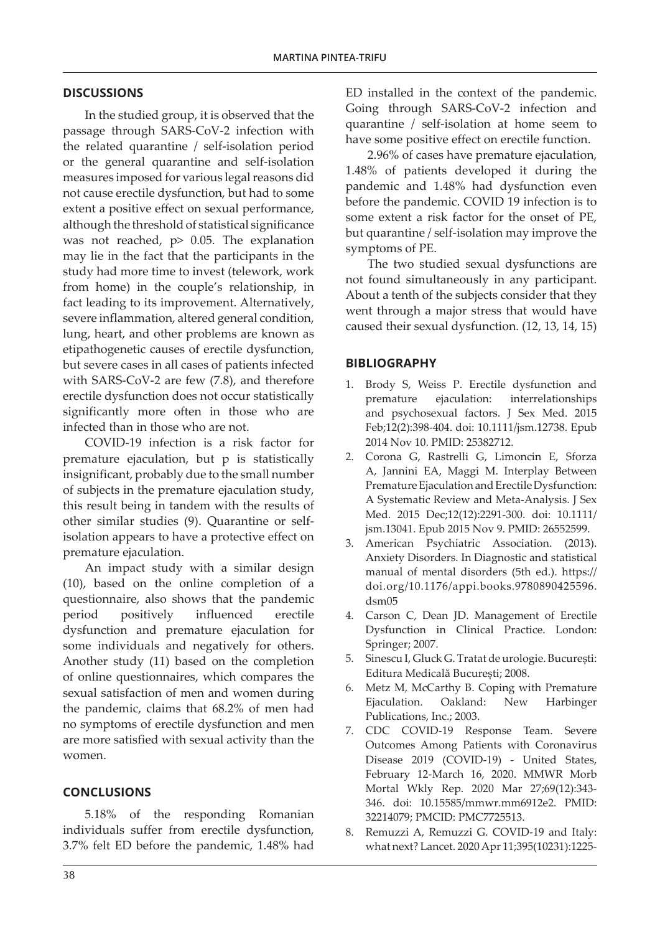# **DISCUSSIONS**

In the studied group, it is observed that the passage through SARS-CoV-2 infection with the related quarantine / self-isolation period or the general quarantine and self-isolation measures imposed for various legal reasons did not cause erectile dysfunction, but had to some extent a positive effect on sexual performance, although the threshold of statistical significance was not reached, p> 0.05. The explanation may lie in the fact that the participants in the study had more time to invest (telework, work from home) in the couple's relationship, in fact leading to its improvement. Alternatively, severe inflammation, altered general condition, lung, heart, and other problems are known as etipathogenetic causes of erectile dysfunction, but severe cases in all cases of patients infected with SARS-CoV-2 are few (7.8), and therefore erectile dysfunction does not occur statistically significantly more often in those who are infected than in those who are not.

COVID-19 infection is a risk factor for premature ejaculation, but p is statistically insignificant, probably due to the small number of subjects in the premature ejaculation study, this result being in tandem with the results of other similar studies (9). Quarantine or selfisolation appears to have a protective effect on premature ejaculation.

An impact study with a similar design (10), based on the online completion of a questionnaire, also shows that the pandemic period positively influenced erectile dysfunction and premature ejaculation for some individuals and negatively for others. Another study (11) based on the completion of online questionnaires, which compares the sexual satisfaction of men and women during the pandemic, claims that 68.2% of men had no symptoms of erectile dysfunction and men are more satisfied with sexual activity than the women.

## **CONCLUSIONS**

5.18% of the responding Romanian individuals suffer from erectile dysfunction, 3.7% felt ED before the pandemic, 1.48% had ED installed in the context of the pandemic. Going through SARS-CoV-2 infection and quarantine / self-isolation at home seem to have some positive effect on erectile function.

2.96% of cases have premature ejaculation, 1.48% of patients developed it during the pandemic and 1.48% had dysfunction even before the pandemic. COVID 19 infection is to some extent a risk factor for the onset of PE, but quarantine / self-isolation may improve the symptoms of PE.

The two studied sexual dysfunctions are not found simultaneously in any participant. About a tenth of the subjects consider that they went through a major stress that would have caused their sexual dysfunction. (12, 13, 14, 15)

#### **BIBLIOGRAPHY**

- 1. Brody S, Weiss P. Erectile dysfunction and premature ejaculation: interrelationships and psychosexual factors. J Sex Med. 2015 Feb;12(2):398-404. doi: 10.1111/jsm.12738. Epub 2014 Nov 10. PMID: 25382712.
- 2. Corona G, Rastrelli G, Limoncin E, Sforza A, Jannini EA, Maggi M. Interplay Between Premature Ejaculation and Erectile Dysfunction: A Systematic Review and Meta-Analysis. J Sex Med. 2015 Dec;12(12):2291-300. doi: 10.1111/ jsm.13041. Epub 2015 Nov 9. PMID: 26552599.
- 3. American Psychiatric Association. (2013). Anxiety Disorders. In Diagnostic and statistical manual of mental disorders (5th ed.). https:// doi.org/10.1176/appi.books.9780890425596. dsm05
- 4. Carson C, Dean JD. Management of Erectile Dysfunction in Clinical Practice. London: Springer; 2007.
- 5. Sinescu I, Gluck G. Tratat de urologie. București: Editura Medicală București; 2008.
- 6. Metz M, McCarthy B. Coping with Premature Ejaculation. Oakland: New Harbinger Publications, Inc.; 2003.
- 7. CDC COVID-19 Response Team. Severe Outcomes Among Patients with Coronavirus Disease 2019 (COVID-19) - United States, February 12-March 16, 2020. MMWR Morb Mortal Wkly Rep. 2020 Mar 27;69(12):343- 346. doi: 10.15585/mmwr.mm6912e2. PMID: 32214079; PMCID: PMC7725513.
- 8. Remuzzi A, Remuzzi G. COVID-19 and Italy: what next? Lancet. 2020 Apr 11;395(10231):1225-